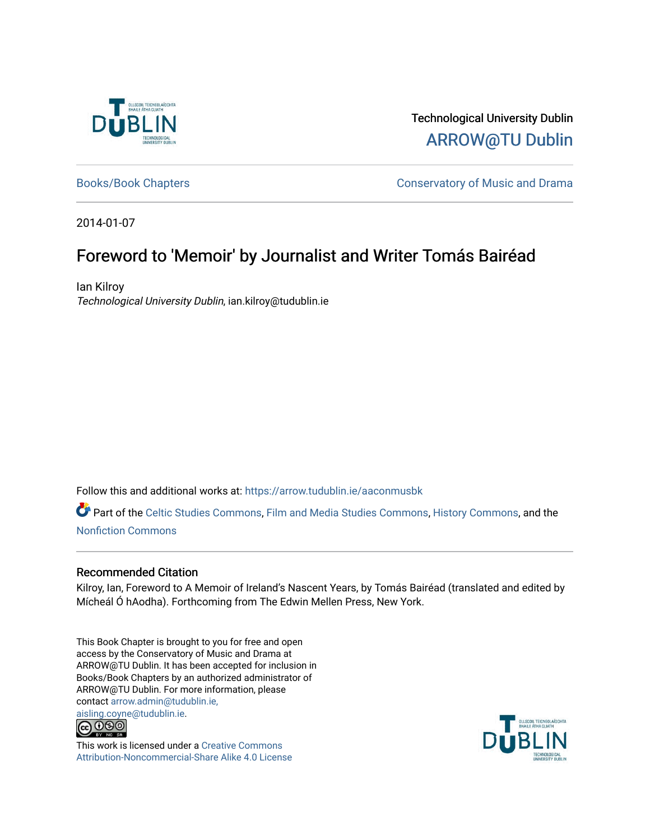

Technological University Dublin [ARROW@TU Dublin](https://arrow.tudublin.ie/) 

[Books/Book Chapters](https://arrow.tudublin.ie/aaconmusbk) **Conservatory of Music and Drama** 

2014-01-07

## Foreword to 'Memoir' by Journalist and Writer Tomás Bairéad

Ian Kilroy Technological University Dublin, ian.kilroy@tudublin.ie

Follow this and additional works at: [https://arrow.tudublin.ie/aaconmusbk](https://arrow.tudublin.ie/aaconmusbk?utm_source=arrow.tudublin.ie%2Faaconmusbk%2F7&utm_medium=PDF&utm_campaign=PDFCoverPages)

Part of the [Celtic Studies Commons,](http://network.bepress.com/hgg/discipline/477?utm_source=arrow.tudublin.ie%2Faaconmusbk%2F7&utm_medium=PDF&utm_campaign=PDFCoverPages) [Film and Media Studies Commons,](http://network.bepress.com/hgg/discipline/563?utm_source=arrow.tudublin.ie%2Faaconmusbk%2F7&utm_medium=PDF&utm_campaign=PDFCoverPages) [History Commons](http://network.bepress.com/hgg/discipline/489?utm_source=arrow.tudublin.ie%2Faaconmusbk%2F7&utm_medium=PDF&utm_campaign=PDFCoverPages), and the [Nonfiction Commons](http://network.bepress.com/hgg/discipline/1152?utm_source=arrow.tudublin.ie%2Faaconmusbk%2F7&utm_medium=PDF&utm_campaign=PDFCoverPages) 

## Recommended Citation

Kilroy, Ian, Foreword to A Memoir of Ireland's Nascent Years, by Tomás Bairéad (translated and edited by Mícheál Ó hAodha). Forthcoming from The Edwin Mellen Press, New York.

This Book Chapter is brought to you for free and open access by the Conservatory of Music and Drama at ARROW@TU Dublin. It has been accepted for inclusion in Books/Book Chapters by an authorized administrator of ARROW@TU Dublin. For more information, please contact [arrow.admin@tudublin.ie,](mailto:arrow.admin@tudublin.ie,%20aisling.coyne@tudublin.ie)  [aisling.coyne@tudublin.ie.](mailto:arrow.admin@tudublin.ie,%20aisling.coyne@tudublin.ie)



This work is licensed under a [Creative Commons](http://creativecommons.org/licenses/by-nc-sa/4.0/) [Attribution-Noncommercial-Share Alike 4.0 License](http://creativecommons.org/licenses/by-nc-sa/4.0/)

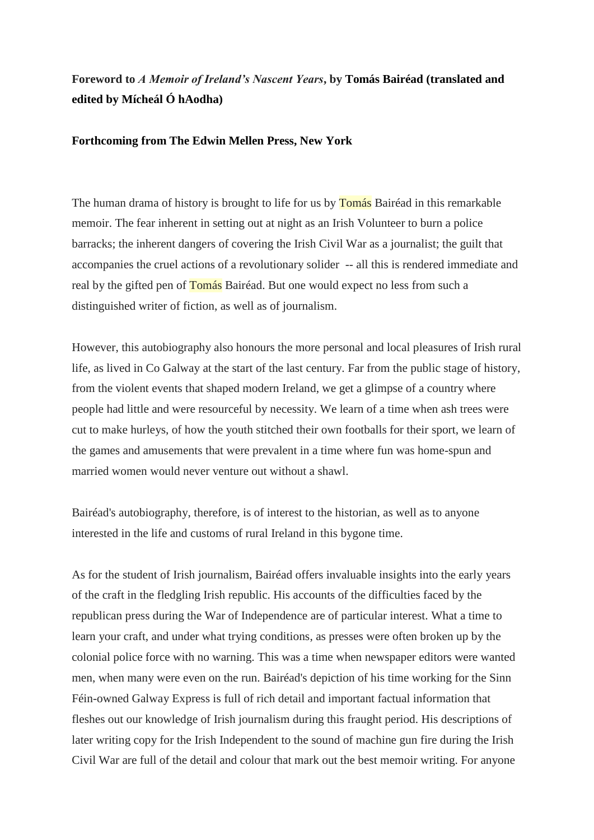## **Foreword to** *A Memoir of Ireland's Nascent Years***, by Tomás Bairéad (translated and edited by Mícheál Ó hAodha)**

## **Forthcoming from The Edwin Mellen Press, New York**

The human drama of history is brought to life for us by **Tomás** Bairéad in this remarkable memoir. The fear inherent in setting out at night as an Irish Volunteer to burn a police barracks; the inherent dangers of covering the Irish Civil War as a journalist; the guilt that accompanies the cruel actions of a revolutionary solider -- all this is rendered immediate and real by the gifted pen of Tomás Bairéad. But one would expect no less from such a distinguished writer of fiction, as well as of journalism.

However, this autobiography also honours the more personal and local pleasures of Irish rural life, as lived in Co Galway at the start of the last century. Far from the public stage of history, from the violent events that shaped modern Ireland, we get a glimpse of a country where people had little and were resourceful by necessity. We learn of a time when ash trees were cut to make hurleys, of how the youth stitched their own footballs for their sport, we learn of the games and amusements that were prevalent in a time where fun was home-spun and married women would never venture out without a shawl.

Bairéad's autobiography, therefore, is of interest to the historian, as well as to anyone interested in the life and customs of rural Ireland in this bygone time.

As for the student of Irish journalism, Bairéad offers invaluable insights into the early years of the craft in the fledgling Irish republic. His accounts of the difficulties faced by the republican press during the War of Independence are of particular interest. What a time to learn your craft, and under what trying conditions, as presses were often broken up by the colonial police force with no warning. This was a time when newspaper editors were wanted men, when many were even on the run. Bairéad's depiction of his time working for the Sinn Féin-owned Galway Express is full of rich detail and important factual information that fleshes out our knowledge of Irish journalism during this fraught period. His descriptions of later writing copy for the Irish Independent to the sound of machine gun fire during the Irish Civil War are full of the detail and colour that mark out the best memoir writing. For anyone